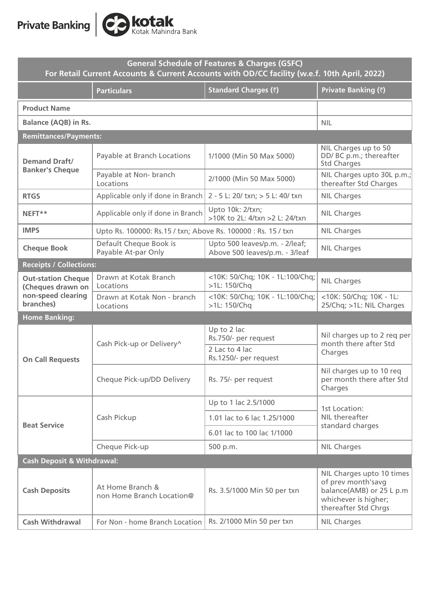

| General Schedule of Features & Charges (GSFC)<br>For Retail Current Accounts & Current Accounts with OD/CC facility (w.e.f. 10th April, 2022) |                                                               |                                                                  |                                                                                                                             |
|-----------------------------------------------------------------------------------------------------------------------------------------------|---------------------------------------------------------------|------------------------------------------------------------------|-----------------------------------------------------------------------------------------------------------------------------|
|                                                                                                                                               | <b>Particulars</b>                                            | <b>Standard Charges (₹)</b>                                      | Private Banking (₹)                                                                                                         |
| <b>Product Name</b>                                                                                                                           |                                                               |                                                                  |                                                                                                                             |
| <b>Balance (AQB) in Rs.</b>                                                                                                                   |                                                               |                                                                  | <b>NIL</b>                                                                                                                  |
| <b>Remittances/Payments:</b>                                                                                                                  |                                                               |                                                                  |                                                                                                                             |
| <b>Demand Draft/</b><br><b>Banker's Cheque</b>                                                                                                | Payable at Branch Locations                                   | 1/1000 (Min 50 Max 5000)                                         | NIL Charges up to 50<br>DD/ BC p.m.; thereafter<br><b>Std Charges</b>                                                       |
|                                                                                                                                               | Payable at Non- branch<br>Locations                           | 2/1000 (Min 50 Max 5000)                                         | NIL Charges upto 30L p.m.;<br>thereafter Std Charges                                                                        |
| <b>RTGS</b>                                                                                                                                   | Applicable only if done in Branch                             | 2 - 5 L: 20/ txn; > 5 L: 40/ txn                                 | <b>NIL Charges</b>                                                                                                          |
| NEFT**                                                                                                                                        | Applicable only if done in Branch                             | Upto 10k: 2/txn;<br>>10K to 2L: 4/txn >2 L: 24/txn               | <b>NIL Charges</b>                                                                                                          |
| <b>IMPS</b>                                                                                                                                   | Upto Rs. 100000: Rs.15 / txn; Above Rs. 100000 : Rs. 15 / txn |                                                                  | <b>NIL Charges</b>                                                                                                          |
| <b>Cheque Book</b>                                                                                                                            | Default Cheque Book is<br>Payable At-par Only                 | Upto 500 leaves/p.m. - 2/leaf;<br>Above 500 leaves/p.m. - 3/leaf | <b>NIL Charges</b>                                                                                                          |
| <b>Receipts / Collections:</b>                                                                                                                |                                                               |                                                                  |                                                                                                                             |
| <b>Out-station Cheque</b><br>(Cheques drawn on                                                                                                | Drawn at Kotak Branch<br>Locations                            | <10K: 50/Chq; 10K - 1L:100/Chq;<br>>1L: 150/Chq                  | <b>NIL Charges</b>                                                                                                          |
| non-speed clearing<br>branches)                                                                                                               | Drawn at Kotak Non - branch<br>Locations                      | <10K: 50/Chq; 10K - 1L:100/Chq;<br>>1L: 150/Chq                  | <10K: 50/Chq; 10K - 1L:<br>25/Chq; >1L: NIL Charges                                                                         |
| <b>Home Banking:</b>                                                                                                                          |                                                               |                                                                  |                                                                                                                             |
|                                                                                                                                               | Cash Pick-up or Delivery^                                     | Up to 2 lac<br>Rs.750/- per request                              | Nil charges up to 2 req per<br>month there after Std<br>Charges                                                             |
| <b>On Call Requests</b>                                                                                                                       |                                                               | 2 Lac to 4 lac<br>Rs.1250/- per request                          |                                                                                                                             |
|                                                                                                                                               | Cheque Pick-up/DD Delivery                                    | Rs. 75/- per request                                             | Nil charges up to 10 req<br>per month there after Std<br>Charges                                                            |
|                                                                                                                                               | Cash Pickup                                                   | Up to 1 lac 2.5/1000                                             | 1st Location:<br>NIL thereafter<br>standard charges                                                                         |
| <b>Beat Service</b>                                                                                                                           |                                                               | 1.01 lac to 6 lac 1.25/1000                                      |                                                                                                                             |
|                                                                                                                                               |                                                               | 6.01 lac to 100 lac 1/1000                                       |                                                                                                                             |
|                                                                                                                                               | Cheque Pick-up                                                | 500 p.m.                                                         | <b>NIL Charges</b>                                                                                                          |
| <b>Cash Deposit &amp; Withdrawal:</b>                                                                                                         |                                                               |                                                                  |                                                                                                                             |
| <b>Cash Deposits</b>                                                                                                                          | At Home Branch &<br>non Home Branch Location@                 | Rs. 3.5/1000 Min 50 per txn                                      | NIL Charges upto 10 times<br>of prev month'savg<br>balance(AMB) or 25 L p.m<br>whichever is higher;<br>thereafter Std Chrgs |
| <b>Cash Withdrawal</b>                                                                                                                        | For Non - home Branch Location                                | Rs. 2/1000 Min 50 per txn                                        | <b>NIL Charges</b>                                                                                                          |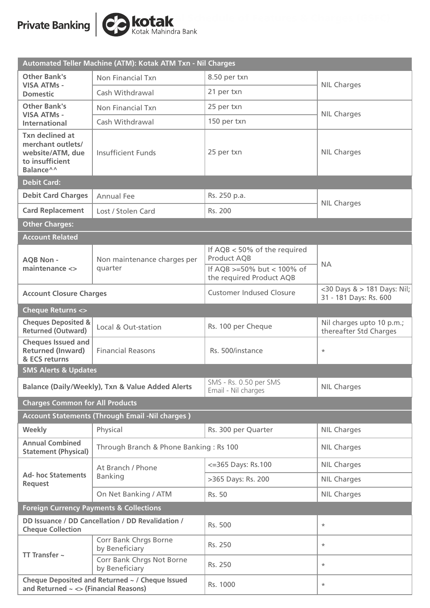

| Automated Teller Machine (ATM): Kotak ATM Txn - Nil Charges                                     |                                                        |                                                                                     |                                                       |  |
|-------------------------------------------------------------------------------------------------|--------------------------------------------------------|-------------------------------------------------------------------------------------|-------------------------------------------------------|--|
| <b>Other Bank's</b><br><b>VISA ATMs -</b><br><b>Domestic</b>                                    | Non Financial Txn                                      | 8.50 per txn                                                                        | <b>NIL Charges</b>                                    |  |
|                                                                                                 | Cash Withdrawal                                        | 21 per txn                                                                          |                                                       |  |
| <b>Other Bank's</b><br><b>VISA ATMs -</b><br><b>International</b>                               | Non Financial Txn                                      | 25 per txn                                                                          |                                                       |  |
|                                                                                                 | Cash Withdrawal                                        | 150 per txn                                                                         | <b>NIL Charges</b>                                    |  |
| <b>Txn declined at</b><br>merchant outlets/<br>website/ATM, due<br>to insufficient<br>Balance^^ | <b>Insufficient Funds</b>                              | 25 per txn                                                                          | <b>NIL Charges</b>                                    |  |
| <b>Debit Card:</b>                                                                              |                                                        |                                                                                     |                                                       |  |
| <b>Debit Card Charges</b>                                                                       | <b>Annual Fee</b>                                      | Rs. 250 p.a.                                                                        | <b>NIL Charges</b>                                    |  |
| <b>Card Replacement</b>                                                                         | Lost / Stolen Card                                     | Rs. 200                                                                             |                                                       |  |
| <b>Other Charges:</b>                                                                           |                                                        |                                                                                     |                                                       |  |
| <b>Account Related</b>                                                                          |                                                        |                                                                                     |                                                       |  |
| <b>AQB Non -</b>                                                                                | Non maintenance charges per                            | If $AQB < 50\%$ of the required<br><b>Product AQB</b><br>If AQB >=50% but < 100% of | <b>NA</b>                                             |  |
| maintenance <>                                                                                  | quarter                                                | the required Product AQB                                                            |                                                       |  |
| <b>Account Closure Charges</b>                                                                  |                                                        | <b>Customer Indused Closure</b>                                                     | <30 Days & > 181 Days: Nil;<br>31 - 181 Days: Rs. 600 |  |
| <b>Cheque Returns &lt;&gt;</b>                                                                  |                                                        |                                                                                     |                                                       |  |
| <b>Cheques Deposited &amp;</b><br><b>Returned (Outward)</b>                                     | Local & Out-station                                    | Rs. 100 per Cheque                                                                  | Nil charges upto 10 p.m.;<br>thereafter Std Charges   |  |
| <b>Cheques Issued and</b><br><b>Returned (Inward)</b><br>& ECS returns                          | <b>Financial Reasons</b>                               | Rs. 500/instance                                                                    | $\ast$                                                |  |
| <b>SMS Alerts &amp; Updates</b>                                                                 |                                                        |                                                                                     |                                                       |  |
| <b>Balance (Daily/Weekly), Txn &amp; Value Added Alerts</b>                                     |                                                        | SMS - Rs. 0.50 per SMS<br>Email - Nil charges                                       | <b>NIL Charges</b>                                    |  |
| <b>Charges Common for All Products</b>                                                          |                                                        |                                                                                     |                                                       |  |
|                                                                                                 | <b>Account Statements (Through Email -Nil charges)</b> |                                                                                     |                                                       |  |
| Weekly                                                                                          | Physical                                               | Rs. 300 per Quarter                                                                 | <b>NIL Charges</b>                                    |  |
| <b>Annual Combined</b><br><b>Statement (Physical)</b>                                           | Through Branch & Phone Banking: Rs 100                 |                                                                                     | <b>NIL Charges</b>                                    |  |
|                                                                                                 | At Branch / Phone<br><b>Banking</b>                    | <= 365 Days: Rs. 100                                                                | <b>NIL Charges</b>                                    |  |
| <b>Ad- hoc Statements</b><br><b>Request</b>                                                     |                                                        | >365 Days: Rs. 200                                                                  | <b>NIL Charges</b>                                    |  |
|                                                                                                 | On Net Banking / ATM                                   | Rs. 50                                                                              | <b>NIL Charges</b>                                    |  |
| <b>Foreign Currency Payments &amp; Collections</b>                                              |                                                        |                                                                                     |                                                       |  |
| DD Issuance / DD Cancellation / DD Revalidation /<br><b>Cheque Collection</b>                   |                                                        | Rs. 500                                                                             | $\ast$                                                |  |
| TT Transfer $\sim$                                                                              | Corr Bank Chrgs Borne<br>by Beneficiary                | Rs. 250                                                                             | $\ast$                                                |  |
|                                                                                                 | Corr Bank Chrgs Not Borne<br>by Beneficiary            | Rs. 250                                                                             | $^{\star}$                                            |  |
| Cheque Deposited and Returned ~ / Cheque Issued<br>and Returned $\sim$ <> (Financial Reasons)   |                                                        | Rs. 1000                                                                            | $^{\star}$                                            |  |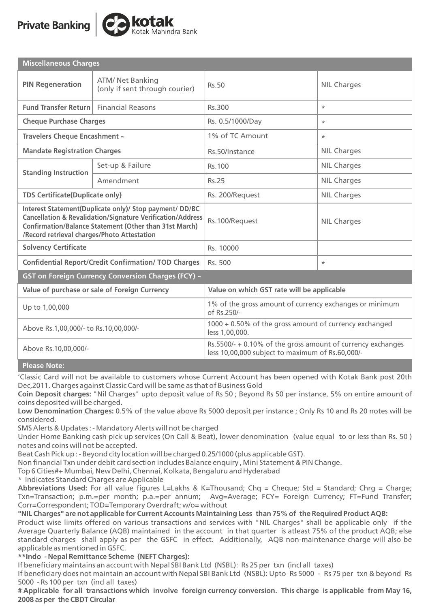# **Private Banking**



| <b>Miscellaneous Charges</b>                                                                                                                                                                                                                     |                                                           |                                                                                                                 |                    |  |
|--------------------------------------------------------------------------------------------------------------------------------------------------------------------------------------------------------------------------------------------------|-----------------------------------------------------------|-----------------------------------------------------------------------------------------------------------------|--------------------|--|
| <b>PIN Regeneration</b>                                                                                                                                                                                                                          | <b>ATM/ Net Banking</b><br>(only if sent through courier) | Rs.50                                                                                                           | <b>NIL Charges</b> |  |
| Fund Transfer Return Financial Reasons                                                                                                                                                                                                           |                                                           | Rs.300                                                                                                          | $\star$            |  |
| <b>Cheque Purchase Charges</b>                                                                                                                                                                                                                   |                                                           | Rs. 0.5/1000/Day                                                                                                | $\star$            |  |
| Travelers Cheque Encashment ~                                                                                                                                                                                                                    |                                                           | 1% of TC Amount                                                                                                 | $\ast$             |  |
| <b>Mandate Registration Charges</b>                                                                                                                                                                                                              |                                                           | Rs.50/Instance                                                                                                  | <b>NIL Charges</b> |  |
| <b>Standing Instruction</b>                                                                                                                                                                                                                      | Set-up & Failure                                          | Rs. 100                                                                                                         | <b>NIL Charges</b> |  |
|                                                                                                                                                                                                                                                  | Amendment                                                 | Rs.25                                                                                                           | <b>NIL Charges</b> |  |
| <b>TDS Certificate(Duplicate only)</b>                                                                                                                                                                                                           |                                                           | Rs. 200/Request                                                                                                 | <b>NIL Charges</b> |  |
| Interest Statement(Duplicate only)/ Stop payment/ DD/BC<br><b>Cancellation &amp; Revalidation/Signature Verification/Address</b><br><b>Confirmation/Balance Statement (Other than 31st March)</b><br>/Record retrieval charges/Photo Attestation |                                                           | Rs.100/Request                                                                                                  | <b>NIL Charges</b> |  |
| <b>Solvency Certificate</b>                                                                                                                                                                                                                      |                                                           | Rs. 10000                                                                                                       |                    |  |
| <b>Confidential Report/Credit Confirmation/ TOD Charges</b>                                                                                                                                                                                      |                                                           | Rs. 500                                                                                                         | $\ast$             |  |
| GST on Foreign Currency Conversion Charges (FCY) ~                                                                                                                                                                                               |                                                           |                                                                                                                 |                    |  |
| Value of purchase or sale of Foreign Currency                                                                                                                                                                                                    |                                                           | Value on which GST rate will be applicable                                                                      |                    |  |
| Up to 1,00,000                                                                                                                                                                                                                                   |                                                           | 1% of the gross amount of currency exchanges or minimum<br>of Rs.250/-                                          |                    |  |
| Above Rs.1,00,000/- to Rs.10,00,000/-                                                                                                                                                                                                            |                                                           | 1000 + 0.50% of the gross amount of currency exchanged<br>less 1,00,000.                                        |                    |  |
| Above Rs.10,00,000/-                                                                                                                                                                                                                             |                                                           | Rs.5500/- + 0.10% of the gross amount of currency exchanges<br>less 10,00,000 subject to maximum of Rs.60,000/- |                    |  |

**Please Note:**

'Classic Card will not be available to customers whose Current Account has been opened with Kotak Bank post 20th Dec,2011. Charges against Classic Card will be same as that of Business Gold

**Coin Deposit charges:** "Nil Charges" upto deposit value of Rs 50 ; Beyond Rs 50 per instance, 5% on entire amount of coins deposited will be charged.

**Low Denomination Charges:** 0.5% of the value above Rs 5000 deposit per instance ; Only Rs 10 and Rs 20 notes will be considered.

SMS Alerts & Updates : - Mandatory Alerts will not be charged

Under Home Banking cash pick up services (On Call & Beat), lower denomination (value equal to or less than Rs. 50 ) notes and coins will not be accepted.

Beat Cash Pick up : - Beyond city location will be charged 0.25/1000 (plus applicable GST).

Non financial Txn under debit card section includes Balance enquiry , Mini Statement & PIN Change.

Top 6 Cities#+ Mumbai, New Delhi, Chennai, Kolkata, Bengaluru and Hyderabad

\* Indicates Standard Charges are Applicable

**Abbreviations Used:** For all value figures L=Lakhs & K=Thousand; Chq = Cheque; Std = Standard; Chrg = Charge; Txn=Transaction; p.m.=per month; p.a.=per annum; Avg=Average; FCY= Foreign Currency; FT=Fund Transfer; Corr=Correspondent; TOD=Temporary Overdraft; w/o= without

**"NIL Charges" are not applicable for Current Accounts Maintaining Less than 75% of the Required Product AQB:**

Product wise limits offered on various transactions and services with "NIL Charges" shall be applicable only if the Average Quarterly Balance (AQB) maintained in the account in that quarter is atleast 75% of the product AQB; else standard charges shall apply as per the GSFC in effect. Additionally, AQB non-maintenance charge will also be applicable as mentioned in GSFC.

**\*\*Indo - Nepal Remittance Scheme (NEFT Charges):**

If beneficiary maintains an account with Nepal SBI Bank Ltd (NSBL): Rs 25 per txn (incl all taxes)

If beneficiary does not maintain an account with Nepal SBI Bank Ltd (NSBL): Upto Rs 5000 - Rs 75 per txn & beyond Rs 5000 - Rs 100 per txn (incl all taxes)

**# Applicable for all transactions which involve foreign currency conversion. This charge is applicable from May 16, 2008 as per the CBDT Circular**